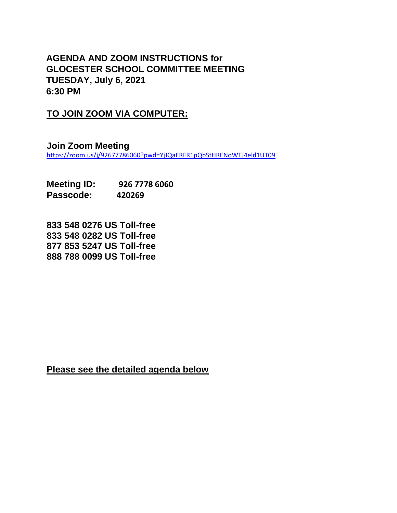## **AGENDA AND ZOOM INSTRUCTIONS for GLOCESTER SCHOOL COMMITTEE MEETING TUESDAY, July 6, 2021 6:30 PM**

## **TO JOIN ZOOM VIA COMPUTER:**

**Join Zoom Meeting** <https://zoom.us/j/92677786060?pwd=YjJQaERFR1pQbStHRENoWTJ4eld1UT09>

**Meeting ID: 926 7778 6060 Passcode: 420269**

**833 548 0276 US Toll-free 833 548 0282 US Toll-free 877 853 5247 US Toll-free 888 788 0099 US Toll-free**

**Please see the detailed agenda below**